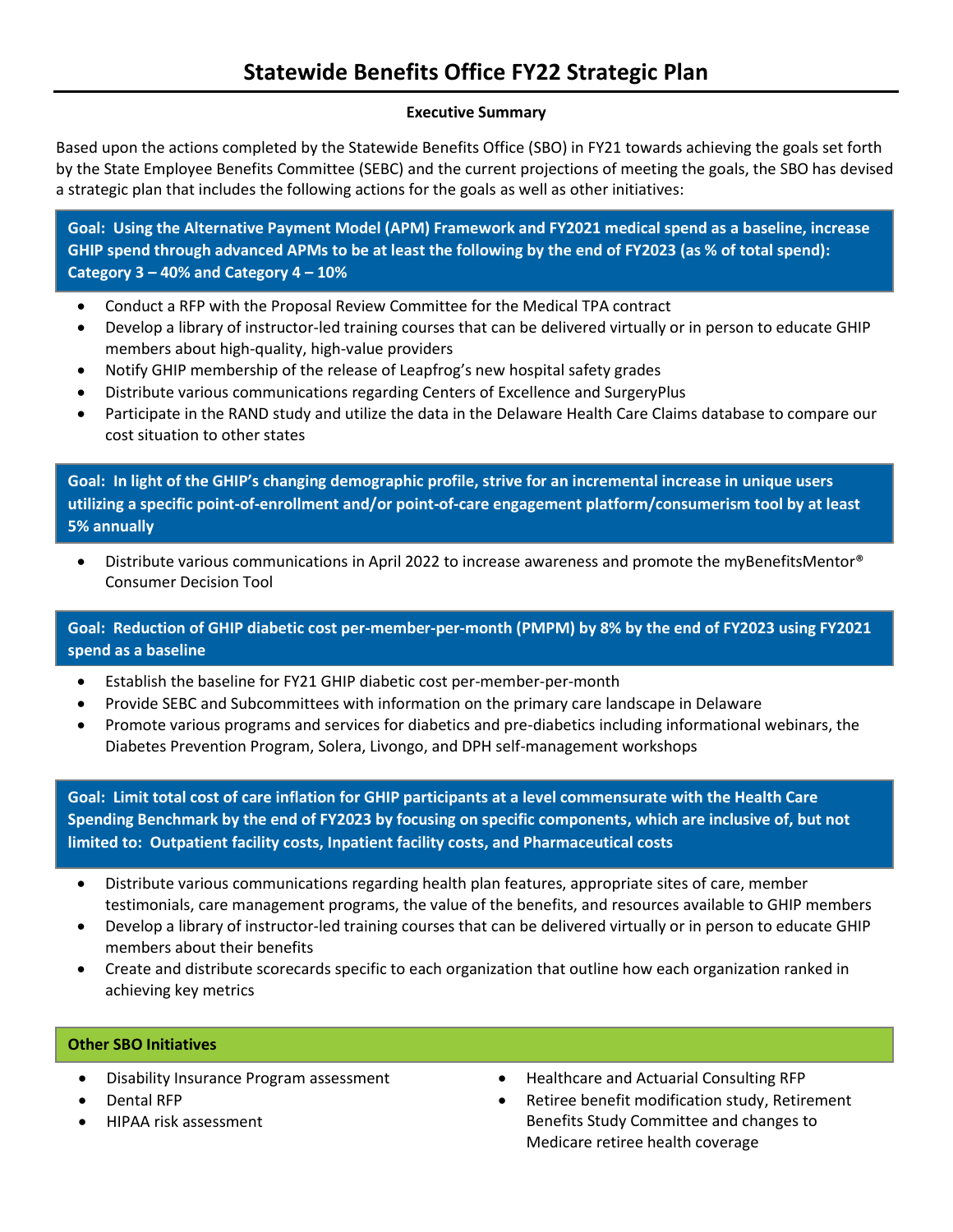#### **Executive Summary**

Based upon the actions completed by the Statewide Benefits Office (SBO) in FY21 towards achieving the goals set forth by the State Employee Benefits Committee (SEBC) and the current projections of meeting the goals, the SBO has devised a strategic plan that includes the following actions for the goals as well as other initiatives:

**Goal: Using the Alternative Payment Model (APM) Framework and FY2021 medical spend as a baseline, increase GHIP spend through advanced APMs to be at least the following by the end of FY2023 (as % of total spend): Category 3 – 40% and Category 4 – 10%**

- Conduct a RFP with the Proposal Review Committee for the Medical TPA contract
- Develop a library of instructor-led training courses that can be delivered virtually or in person to educate GHIP members about high-quality, high-value providers
- Notify GHIP membership of the release of Leapfrog's new hospital safety grades
- Distribute various communications regarding Centers of Excellence and SurgeryPlus
- Participate in the RAND study and utilize the data in the Delaware Health Care Claims database to compare our cost situation to other states

**Goal: In light of the GHIP's changing demographic profile, strive for an incremental increase in unique users utilizing a specific point-of-enrollment and/or point-of-care engagement platform/consumerism tool by at least 5% annually**

• Distribute various communications in April 2022 to increase awareness and promote the myBenefitsMentor® Consumer Decision Tool

**Goal: Reduction of GHIP diabetic cost per-member-per-month (PMPM) by 8% by the end of FY2023 using FY2021 spend as a baseline**

- Establish the baseline for FY21 GHIP diabetic cost per-member-per-month
- Provide SEBC and Subcommittees with information on the primary care landscape in Delaware
- Promote various programs and services for diabetics and pre-diabetics including informational webinars, the Diabetes Prevention Program, Solera, Livongo, and DPH self-management workshops

**Goal: Limit total cost of care inflation for GHIP participants at a level commensurate with the Health Care Spending Benchmark by the end of FY2023 by focusing on specific components, which are inclusive of, but not limited to: Outpatient facility costs, Inpatient facility costs, and Pharmaceutical costs**

- Distribute various communications regarding health plan features, appropriate sites of care, member testimonials, care management programs, the value of the benefits, and resources available to GHIP members
- Develop a library of instructor-led training courses that can be delivered virtually or in person to educate GHIP members about their benefits
- Create and distribute scorecards specific to each organization that outline how each organization ranked in achieving key metrics

#### **Other SBO Initiatives**

- Disability Insurance Program assessment
- Dental RFP
- HIPAA risk assessment
- Healthcare and Actuarial Consulting RFP
- Retiree benefit modification study, Retirement Benefits Study Committee and changes to Medicare retiree health coverage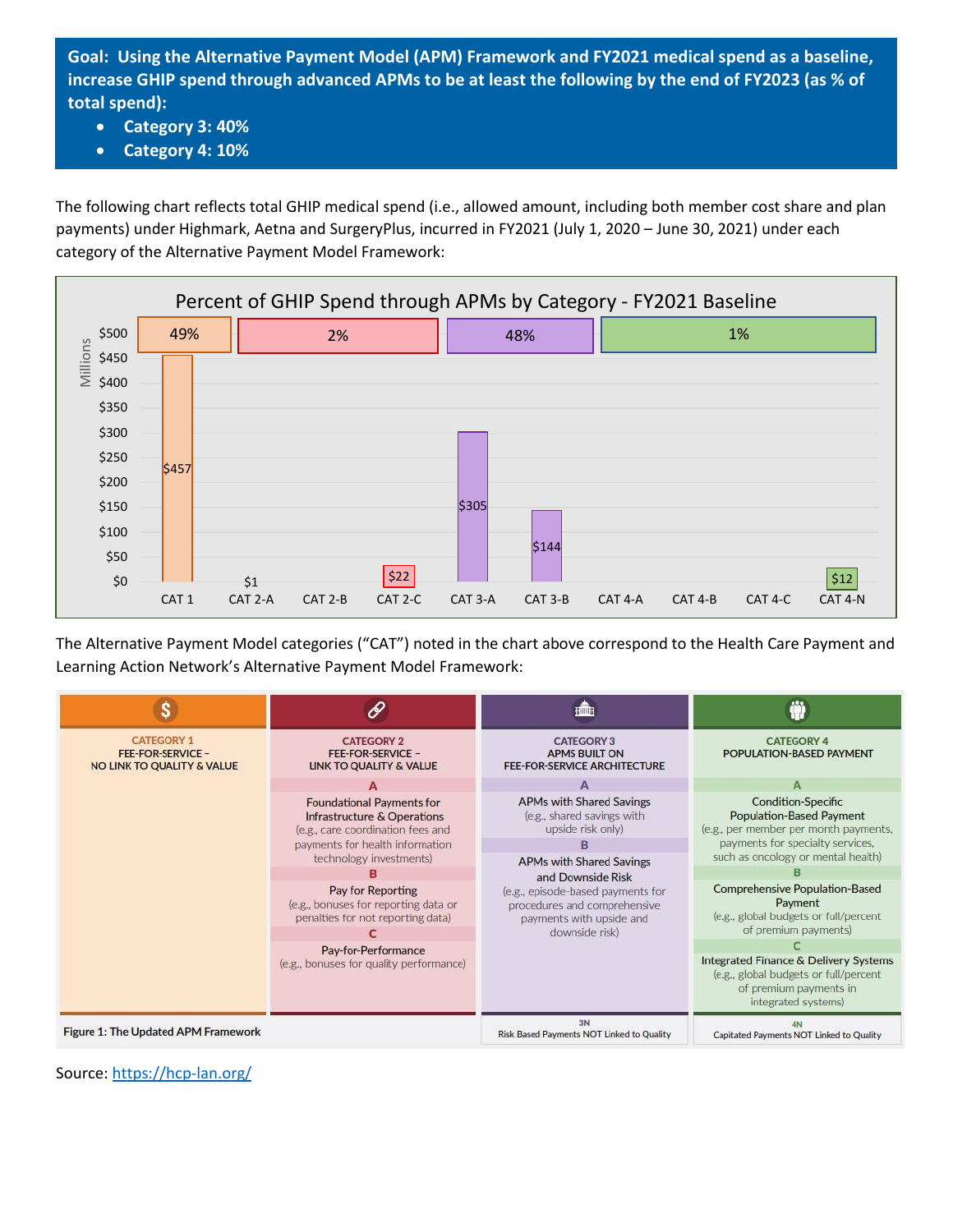**Goal: Using the Alternative Payment Model (APM) Framework and FY2021 medical spend as a baseline, increase GHIP spend through advanced APMs to be at least the following by the end of FY2023 (as % of total spend):**

- **Category 3: 40%**
- **Category 4: 10%**

The following chart reflects total GHIP medical spend (i.e., allowed amount, including both member cost share and plan payments) under Highmark, Aetna and SurgeryPlus, incurred in FY2021 (July 1, 2020 – June 30, 2021) under each category of the Alternative Payment Model Framework:



The Alternative Payment Model categories ("CAT") noted in the chart above correspond to the Health Care Payment and Learning Action Network's Alternative Payment Model Framework:

|                                                                             |                                                                                                                                         | Billing                                                                                                                                                                 |                                                                                                                                                    |
|-----------------------------------------------------------------------------|-----------------------------------------------------------------------------------------------------------------------------------------|-------------------------------------------------------------------------------------------------------------------------------------------------------------------------|----------------------------------------------------------------------------------------------------------------------------------------------------|
| <b>CATEGORY 1</b><br><b>FEE-FOR-SERVICE -</b><br>NO LINK TO QUALITY & VALUE | <b>CATEGORY 2</b><br><b>FEE-FOR-SERVICE -</b><br><b>LINK TO QUALITY &amp; VALUE</b>                                                     | <b>CATEGORY 3</b><br><b>APMS BUILT ON</b><br><b>FEE-FOR-SERVICE ARCHITECTURE</b>                                                                                        | <b>CATEGORY 4</b><br>POPULATION-BASED PAYMENT                                                                                                      |
|                                                                             |                                                                                                                                         |                                                                                                                                                                         |                                                                                                                                                    |
|                                                                             | <b>Foundational Payments for</b><br>Infrastructure & Operations<br>(e.g., care coordination fees and<br>payments for health information | APMs with Shared Savings<br><b>Condition-Specific</b><br>(e.g., shared savings with<br>upside risk only)                                                                | <b>Population-Based Payment</b><br>(e.g., per member per month payments,<br>payments for specialty services,<br>such as oncology or mental health) |
|                                                                             | technology investments)                                                                                                                 | <b>APMs with Shared Savings</b><br>and Downside Risk<br>(e.g., episode-based payments for<br>procedures and comprehensive<br>payments with upside and<br>downside risk) |                                                                                                                                                    |
|                                                                             | Pay for Reporting<br>(e.g., bonuses for reporting data or<br>penalties for not reporting data)                                          |                                                                                                                                                                         | <b>Comprehensive Population-Based</b><br>Payment<br>(e.g., global budgets or full/percent<br>of premium payments)                                  |
|                                                                             | Pay-for-Performance                                                                                                                     |                                                                                                                                                                         |                                                                                                                                                    |
|                                                                             | (e.g., bonuses for quality performance)                                                                                                 |                                                                                                                                                                         | <b>Integrated Finance &amp; Delivery Systems</b><br>(e.g., global budgets or full/percent<br>of premium payments in<br>integrated systems)         |
| Figure 1: The Updated APM Framework                                         |                                                                                                                                         | 3N<br>Risk Based Payments NOT Linked to Quality                                                                                                                         | Capitated Payments NOT Linked to Quality                                                                                                           |

Source:<https://hcp-lan.org/>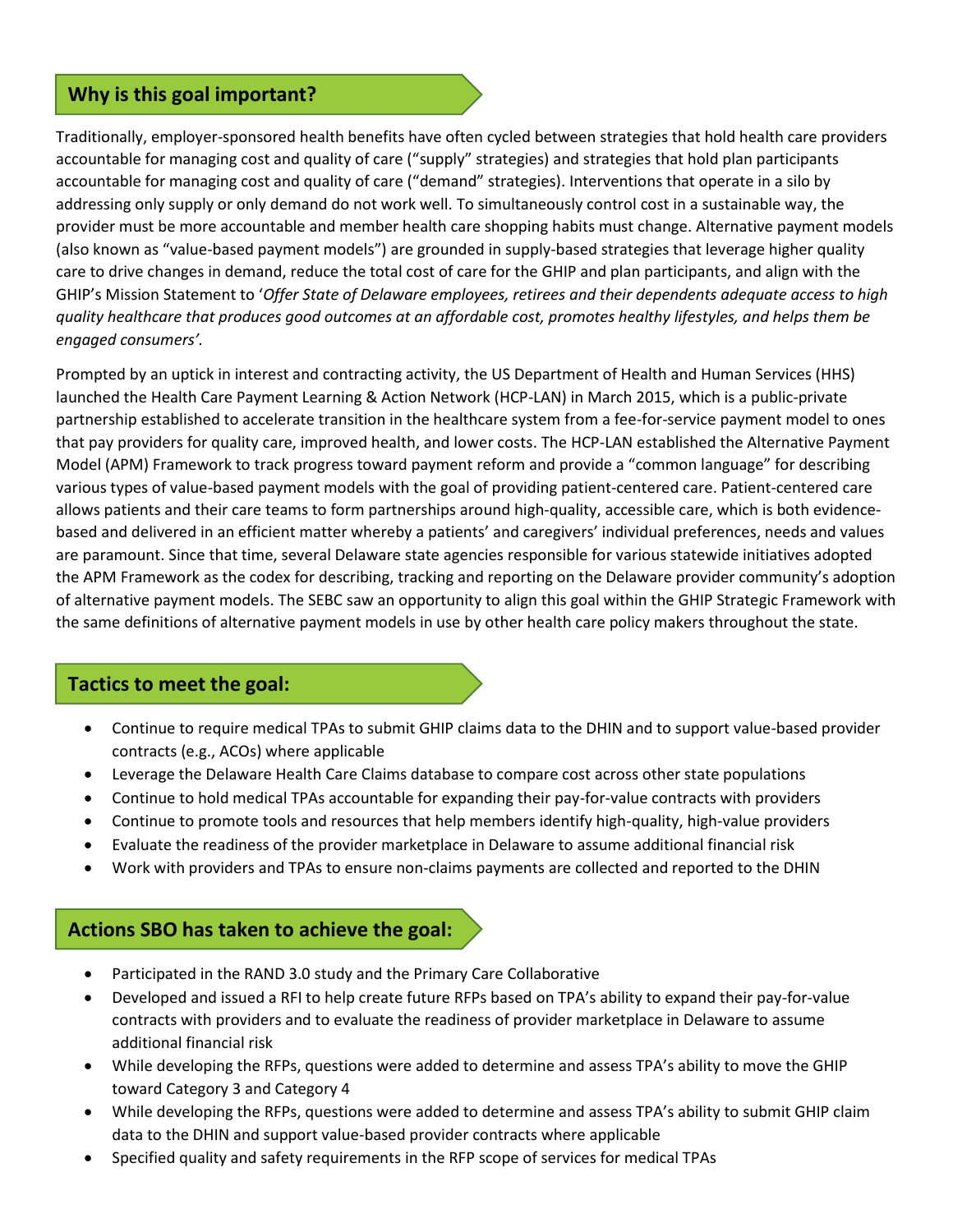### **Why is this goal important?**

Traditionally, employer-sponsored health benefits have often cycled between strategies that hold health care providers accountable for managing cost and quality of care ("supply" strategies) and strategies that hold plan participants accountable for managing cost and quality of care ("demand" strategies). Interventions that operate in a silo by addressing only supply or only demand do not work well. To simultaneously control cost in a sustainable way, the provider must be more accountable and member health care shopping habits must change. Alternative payment models (also known as "value-based payment models") are grounded in supply-based strategies that leverage higher quality care to drive changes in demand, reduce the total cost of care for the GHIP and plan participants, and align with the GHIP's Mission Statement to '*Offer State of Delaware employees, retirees and their dependents adequate access to high quality healthcare that produces good outcomes at an affordable cost, promotes healthy lifestyles, and helps them be engaged consumers'.*

Prompted by an uptick in interest and contracting activity, the US Department of Health and Human Services (HHS) launched the Health Care Payment Learning & Action Network (HCP-LAN) in March 2015, which is a public-private partnership established to accelerate transition in the healthcare system from a fee-for-service payment model to ones that pay providers for quality care, improved health, and lower costs. The HCP-LAN established the Alternative Payment Model (APM) Framework to track progress toward payment reform and provide a "common language" for describing various types of value-based payment models with the goal of providing patient-centered care. Patient-centered care allows patients and their care teams to form partnerships around high-quality, accessible care, which is both evidencebased and delivered in an efficient matter whereby a patients' and caregivers' individual preferences, needs and values are paramount. Since that time, several Delaware state agencies responsible for various statewide initiatives adopted the APM Framework as the codex for describing, tracking and reporting on the Delaware provider community's adoption of alternative payment models. The SEBC saw an opportunity to align this goal within the GHIP Strategic Framework with the same definitions of alternative payment models in use by other health care policy makers throughout the state.

### **Tactics to meet the goal:**

- Continue to require medical TPAs to submit GHIP claims data to the DHIN and to support value-based provider contracts (e.g., ACOs) where applicable
- Leverage the Delaware Health Care Claims database to compare cost across other state populations
- Continue to hold medical TPAs accountable for expanding their pay-for-value contracts with providers
- Continue to promote tools and resources that help members identify high-quality, high-value providers
- Evaluate the readiness of the provider marketplace in Delaware to assume additional financial risk
- Work with providers and TPAs to ensure non-claims payments are collected and reported to the DHIN

### **Actions SBO has taken to achieve the goal:**

- Participated in the RAND 3.0 study and the Primary Care Collaborative
- Developed and issued a RFI to help create future RFPs based on TPA's ability to expand their pay-for-value contracts with providers and to evaluate the readiness of provider marketplace in Delaware to assume additional financial risk
- While developing the RFPs, questions were added to determine and assess TPA's ability to move the GHIP toward Category 3 and Category 4
- While developing the RFPs, questions were added to determine and assess TPA's ability to submit GHIP claim data to the DHIN and support value-based provider contracts where applicable
- Specified quality and safety requirements in the RFP scope of services for medical TPAs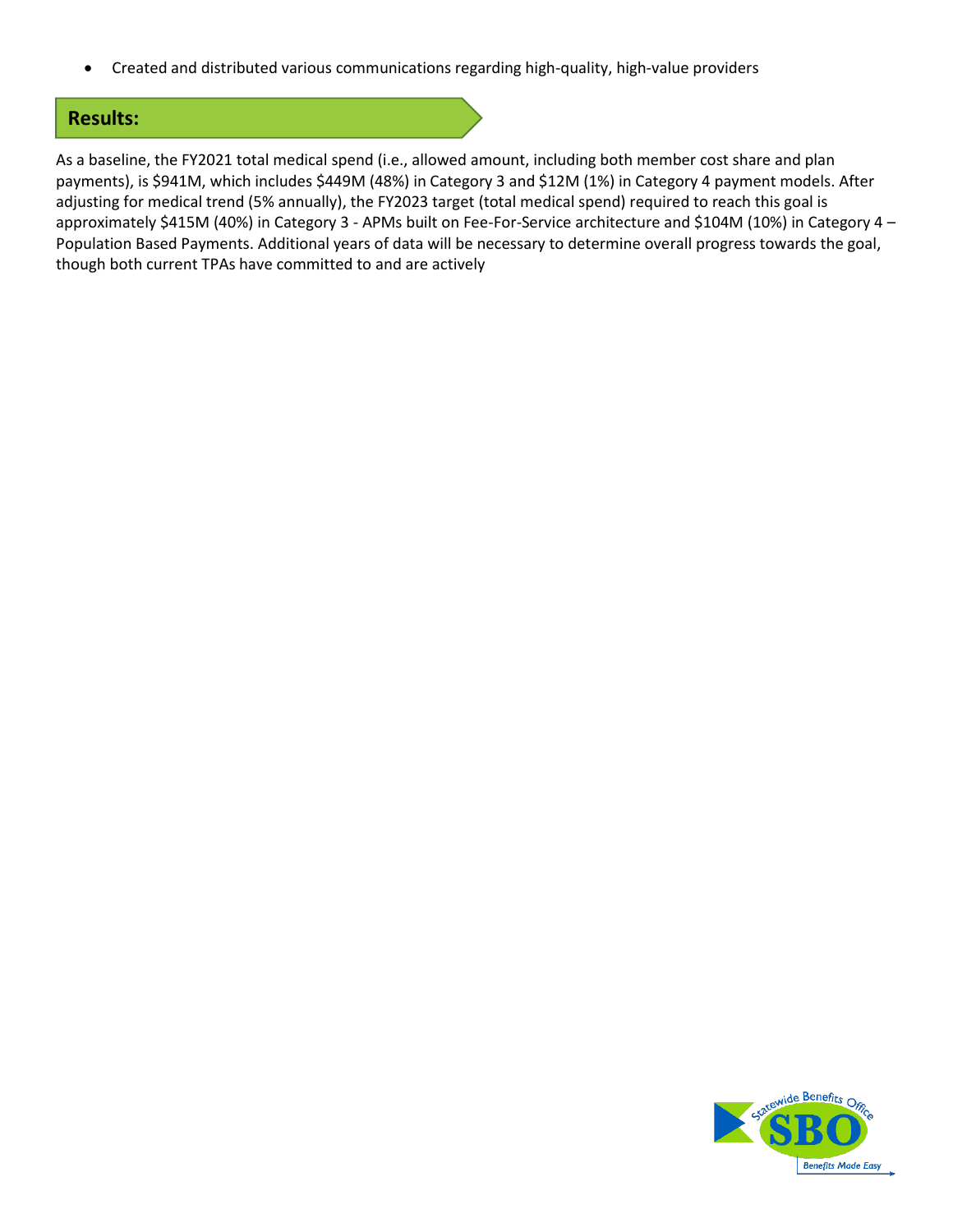• Created and distributed various communications regarding high-quality, high-value providers

### **Results:**

As a baseline, the FY2021 total medical spend (i.e., allowed amount, including both member cost share and plan payments), is \$941M, which includes \$449M (48%) in Category 3 and \$12M (1%) in Category 4 payment models. After adjusting for medical trend (5% annually), the FY2023 target (total medical spend) required to reach this goal is approximately \$415M (40%) in Category 3 - APMs built on Fee-For-Service architecture and \$104M (10%) in Category 4 – Population Based Payments. Additional years of data will be necessary to determine overall progress towards the goal, though both current TPAs have committed to and are actively

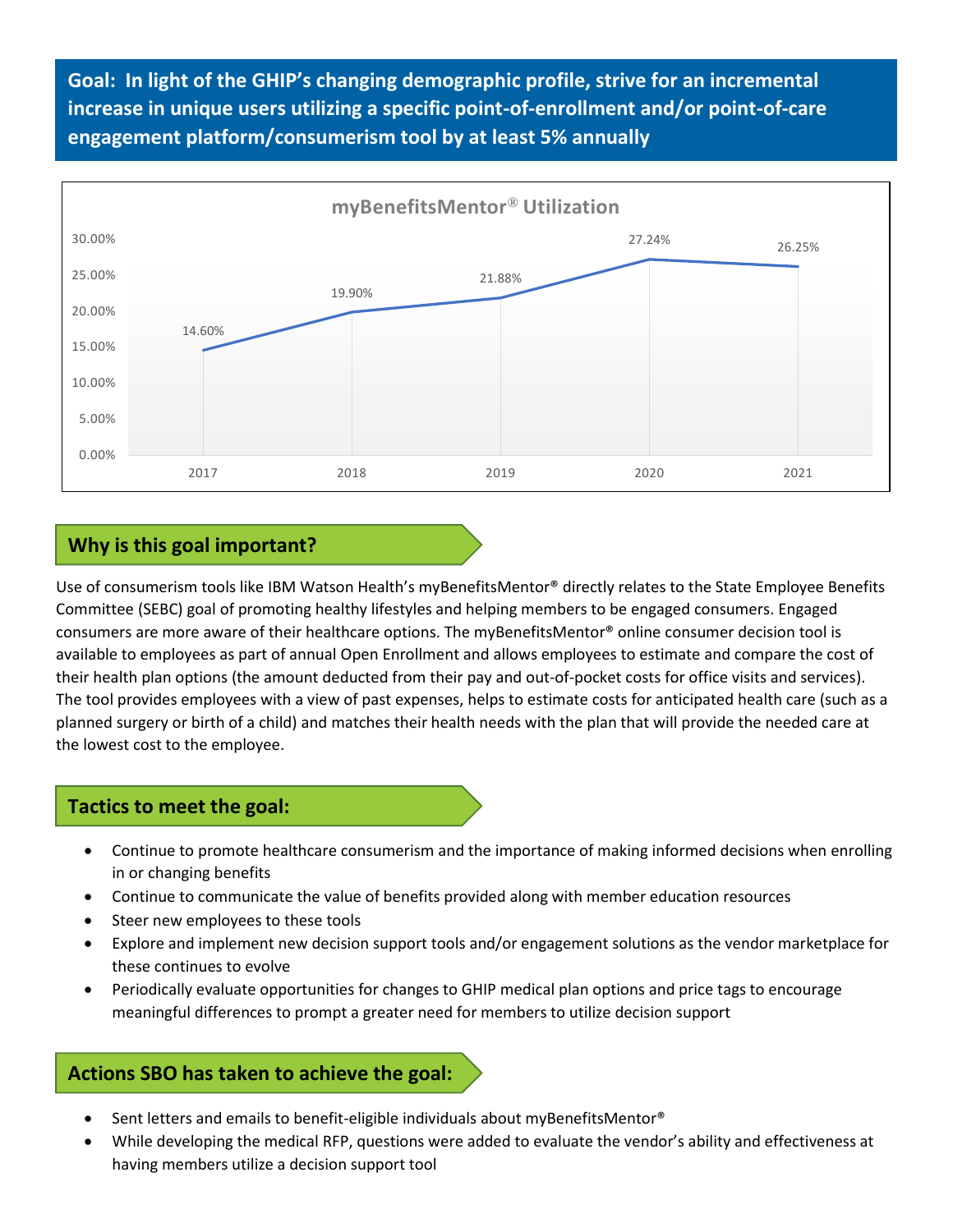**Goal: In light of the GHIP's changing demographic profile, strive for an incremental increase in unique users utilizing a specific point-of-enrollment and/or point-of-care engagement platform/consumerism tool by at least 5% annually**



## **Why is this goal important?**

Use of consumerism tools like IBM Watson Health's myBenefitsMentor® directly relates to the State Employee Benefits Committee (SEBC) goal of promoting healthy lifestyles and helping members to be engaged consumers. Engaged consumers are more aware of their healthcare options. The myBenefitsMentor® online consumer decision tool is available to employees as part of annual Open Enrollment and allows employees to estimate and compare the cost of their health plan options (the amount deducted from their pay and out-of-pocket costs for office visits and services). The tool provides employees with a view of past expenses, helps to estimate costs for anticipated health care (such as a planned surgery or birth of a child) and matches their health needs with the plan that will provide the needed care at the lowest cost to the employee.

### **Tactics to meet the goal:**

- Continue to promote healthcare consumerism and the importance of making informed decisions when enrolling in or changing benefits
- Continue to communicate the value of benefits provided along with member education resources
- Steer new employees to these tools
- Explore and implement new decision support tools and/or engagement solutions as the vendor marketplace for these continues to evolve
- Periodically evaluate opportunities for changes to GHIP medical plan options and price tags to encourage meaningful differences to prompt a greater need for members to utilize decision support

### **Actions SBO has taken to achieve the goal:**

- Sent letters and emails to benefit-eligible individuals about myBenefitsMentor®
- While developing the medical RFP, questions were added to evaluate the vendor's ability and effectiveness at having members utilize a decision support tool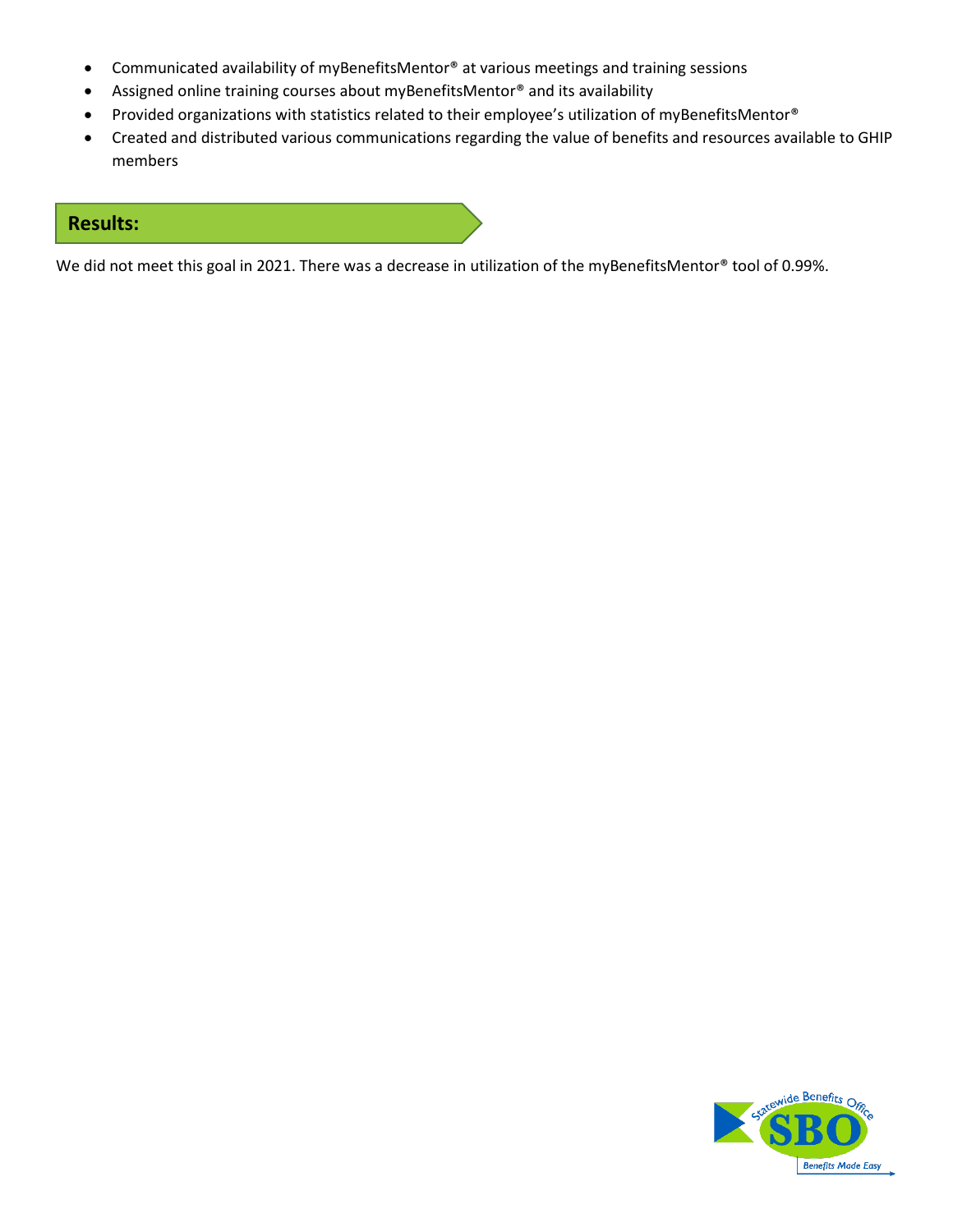- Communicated availability of myBenefitsMentor® at various meetings and training sessions
- Assigned online training courses about myBenefitsMentor® and its availability
- Provided organizations with statistics related to their employee's utilization of myBenefitsMentor®
- Created and distributed various communications regarding the value of benefits and resources available to GHIP members

### **Results:**

We did not meet this goal in 2021. There was a decrease in utilization of the myBenefitsMentor® tool of 0.99%.

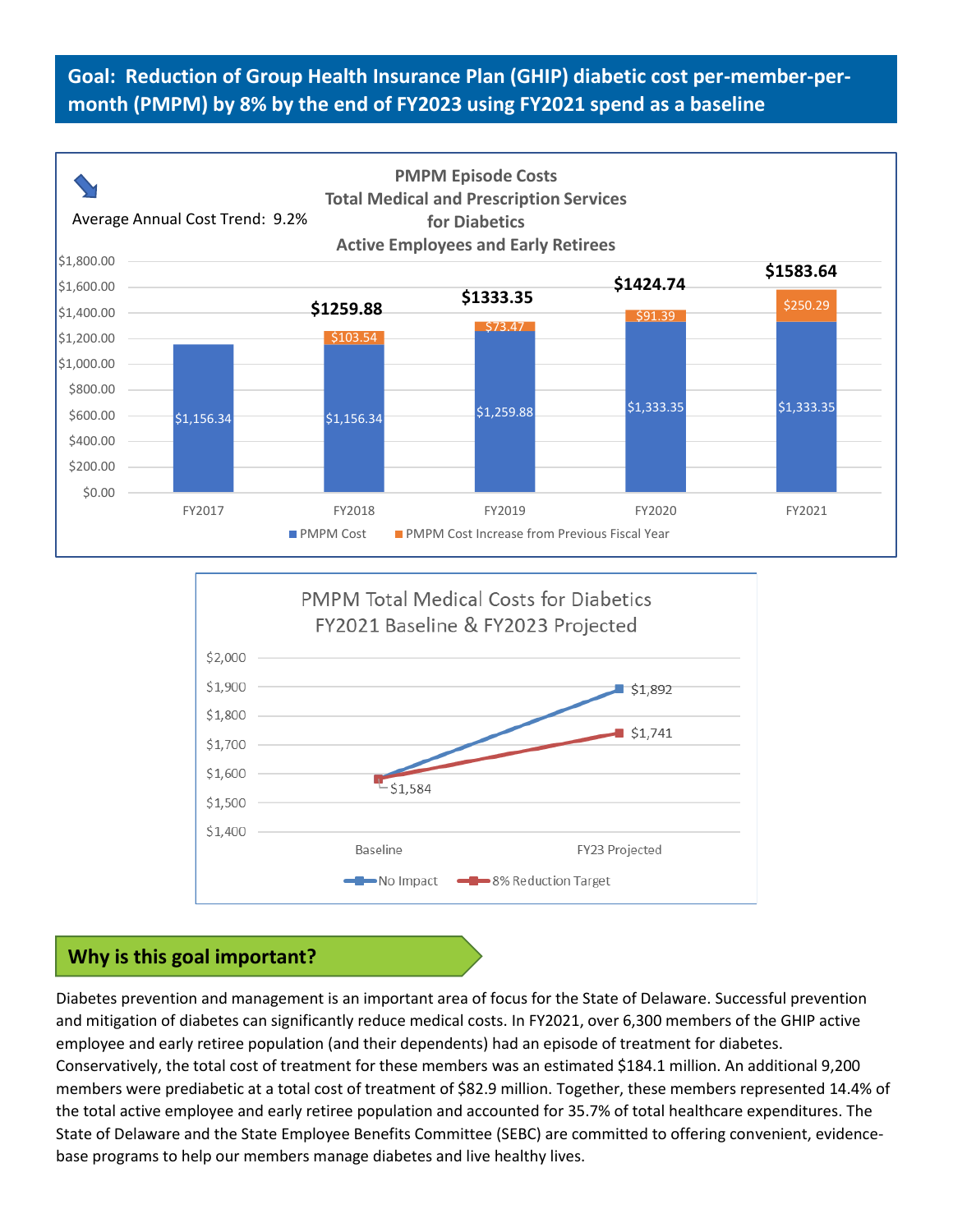# **Goal: Reduction of Group Health Insurance Plan (GHIP) diabetic cost per-member-permonth (PMPM) by 8% by the end of FY2023 using FY2021 spend as a baseline**





# **Why is this goal important?**

Diabetes prevention and management is an important area of focus for the State of Delaware. Successful prevention and mitigation of diabetes can significantly reduce medical costs. In FY2021, over 6,300 members of the GHIP active employee and early retiree population (and their dependents) had an episode of treatment for diabetes. Conservatively, the total cost of treatment for these members was an estimated \$184.1 million. An additional 9,200 members were prediabetic at a total cost of treatment of \$82.9 million. Together, these members represented 14.4% of the total active employee and early retiree population and accounted for 35.7% of total healthcare expenditures. The State of Delaware and the State Employee Benefits Committee (SEBC) are committed to offering convenient, evidencebase programs to help our members manage diabetes and live healthy lives.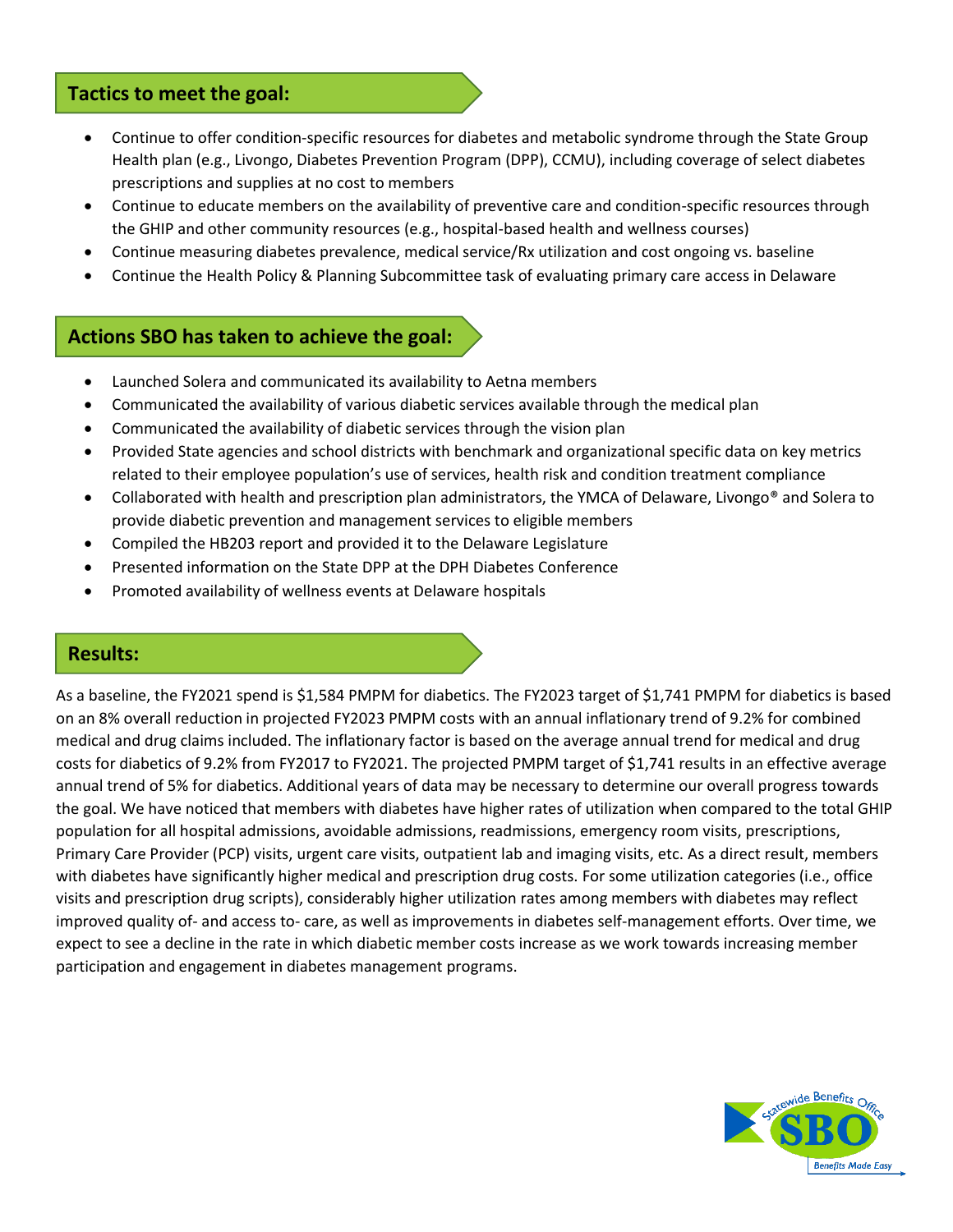### **Tactics to meet the goal:**

- Continue to offer condition-specific resources for diabetes and metabolic syndrome through the State Group Health plan (e.g., Livongo, Diabetes Prevention Program (DPP), CCMU), including coverage of select diabetes prescriptions and supplies at no cost to members
- Continue to educate members on the availability of preventive care and condition-specific resources through the GHIP and other community resources (e.g., hospital-based health and wellness courses)
- Continue measuring diabetes prevalence, medical service/Rx utilization and cost ongoing vs. baseline
- Continue the Health Policy & Planning Subcommittee task of evaluating primary care access in Delaware

### **Actions SBO has taken to achieve the goal:**

- Launched Solera and communicated its availability to Aetna members
- Communicated the availability of various diabetic services available through the medical plan
- Communicated the availability of diabetic services through the vision plan
- Provided State agencies and school districts with benchmark and organizational specific data on key metrics related to their employee population's use of services, health risk and condition treatment compliance
- Collaborated with health and prescription plan administrators, the YMCA of Delaware, Livongo® and Solera to provide diabetic prevention and management services to eligible members
- Compiled the HB203 report and provided it to the Delaware Legislature
- Presented information on the State DPP at the DPH Diabetes Conference
- Promoted availability of wellness events at Delaware hospitals

### **Results:**

As a baseline, the FY2021 spend is \$1,584 PMPM for diabetics. The FY2023 target of \$1,741 PMPM for diabetics is based on an 8% overall reduction in projected FY2023 PMPM costs with an annual inflationary trend of 9.2% for combined medical and drug claims included. The inflationary factor is based on the average annual trend for medical and drug costs for diabetics of 9.2% from FY2017 to FY2021. The projected PMPM target of \$1,741 results in an effective average annual trend of 5% for diabetics. Additional years of data may be necessary to determine our overall progress towards the goal. We have noticed that members with diabetes have higher rates of utilization when compared to the total GHIP population for all hospital admissions, avoidable admissions, readmissions, emergency room visits, prescriptions, Primary Care Provider (PCP) visits, urgent care visits, outpatient lab and imaging visits, etc. As a direct result, members with diabetes have significantly higher medical and prescription drug costs. For some utilization categories (i.e., office visits and prescription drug scripts), considerably higher utilization rates among members with diabetes may reflect improved quality of- and access to- care, as well as improvements in diabetes self-management efforts. Over time, we expect to see a decline in the rate in which diabetic member costs increase as we work towards increasing member participation and engagement in diabetes management programs.

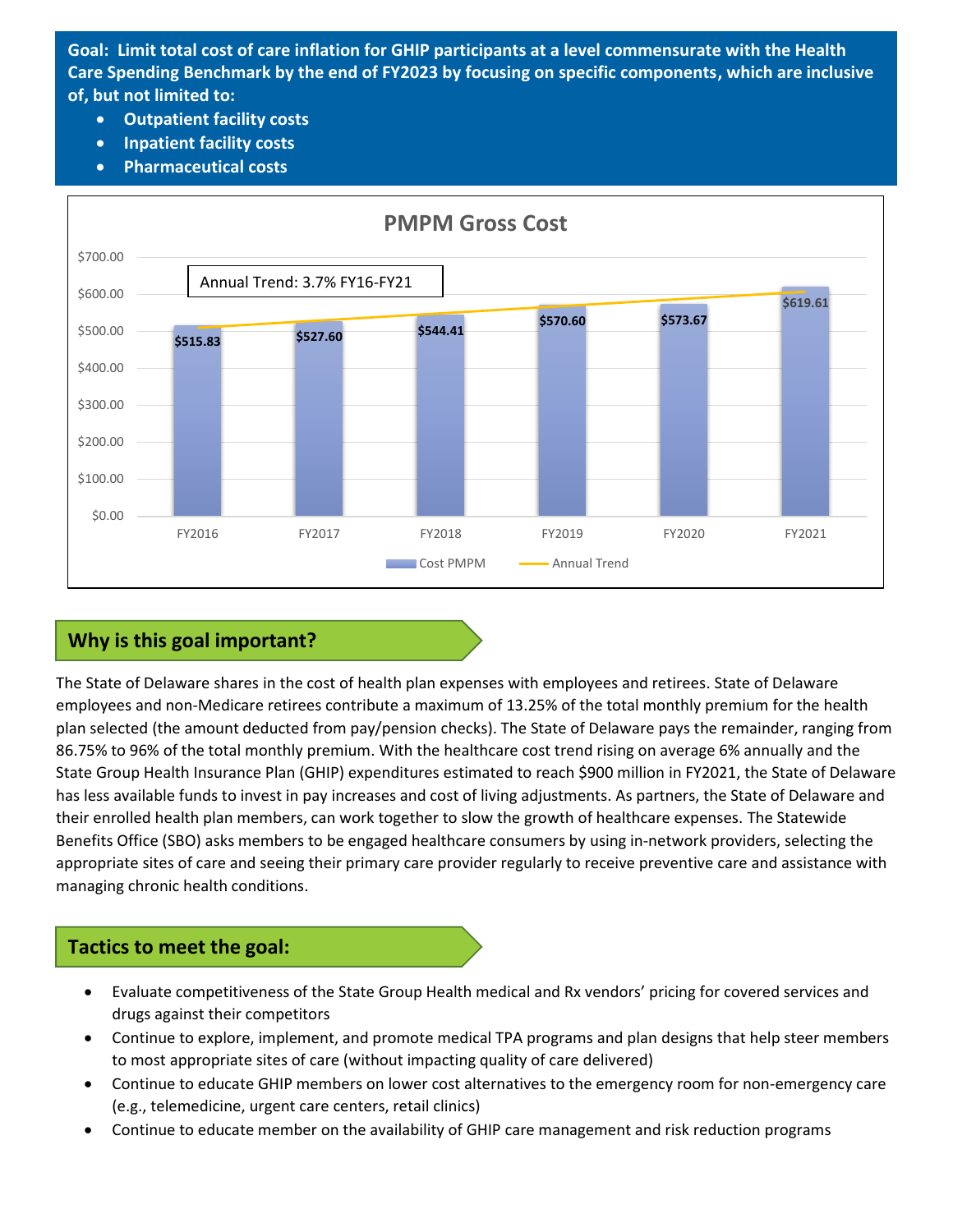**Goal: Limit total cost of care inflation for GHIP participants at a level commensurate with the Health Care Spending Benchmark by the end of FY2023 by focusing on specific components, which are inclusive of, but not limited to:**

- **Outpatient facility costs**
- **Inpatient facility costs**
- **Pharmaceutical costs**



## **Why is this goal important?**

The State of Delaware shares in the cost of health plan expenses with employees and retirees. State of Delaware employees and non-Medicare retirees contribute a maximum of 13.25% of the total monthly premium for the health plan selected (the amount deducted from pay/pension checks). The State of Delaware pays the remainder, ranging from 86.75% to 96% of the total monthly premium. With the healthcare cost trend rising on average 6% annually and the State Group Health Insurance Plan (GHIP) expenditures estimated to reach \$900 million in FY2021, the State of Delaware has less available funds to invest in pay increases and cost of living adjustments. As partners, the State of Delaware and their enrolled health plan members, can work together to slow the growth of healthcare expenses. The Statewide Benefits Office (SBO) asks members to be engaged healthcare consumers by using in-network providers, selecting the appropriate sites of care and seeing their primary care provider regularly to receive preventive care and assistance with managing chronic health conditions.

## **Tactics to meet the goal:**

- Evaluate competitiveness of the State Group Health medical and Rx vendors' pricing for covered services and drugs against their competitors
- Continue to explore, implement, and promote medical TPA programs and plan designs that help steer members to most appropriate sites of care (without impacting quality of care delivered)
- Continue to educate GHIP members on lower cost alternatives to the emergency room for non-emergency care (e.g., telemedicine, urgent care centers, retail clinics)
- Continue to educate member on the availability of GHIP care management and risk reduction programs